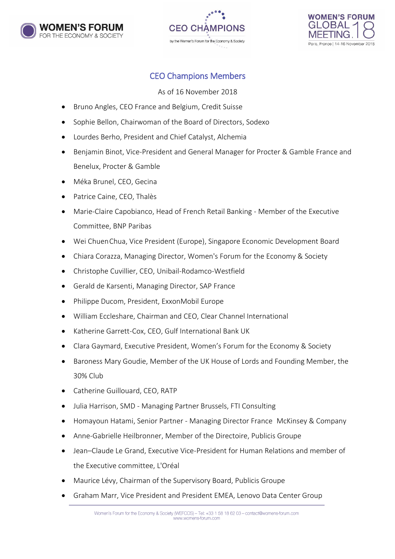





## CEO Champions Members

As of 16 November 2018

- Bruno Angles, CEO France and Belgium, Credit Suisse
- Sophie Bellon, Chairwoman of the Board of Directors, Sodexo
- Lourdes Berho, President and Chief Catalyst, Alchemia
- Benjamin Binot, Vice-President and General Manager for Procter & Gamble France and Benelux, Procter & Gamble
- Méka Brunel, CEO, Gecina
- Patrice Caine, CEO, Thalès
- Marie-Claire Capobianco, Head of French Retail Banking Member of the Executive Committee, BNP Paribas
- Wei ChuenChua, Vice President (Europe), Singapore Economic Development Board
- Chiara Corazza, Managing Director, Women's Forum for the Economy & Society
- Christophe Cuvillier, CEO, Unibail-Rodamco-Westfield
- Gerald de Karsenti, Managing Director, SAP France
- Philippe Ducom, President, ExxonMobil Europe
- William Eccleshare, Chairman and CEO, Clear Channel International
- Katherine Garrett-Cox, CEO, Gulf International Bank UK
- Clara Gaymard, Executive President, Women's Forum for the Economy & Society
- Baroness Mary Goudie, Member of the UK House of Lords and Founding Member, the 30% Club
- Catherine Guillouard, CEO, RATP
- Julia Harrison, SMD Managing Partner Brussels, FTI Consulting
- Homayoun Hatami, Senior Partner Managing Director France McKinsey & Company
- Anne-Gabrielle Heilbronner, Member of the Directoire, Publicis Groupe
- Jean–Claude Le Grand, Executive Vice-President for Human Relations and member of the Executive committee, L'Oréal
- Maurice Lévy, Chairman of the Supervisory Board, Publicis Groupe
- Graham Marr, Vice President and President EMEA, Lenovo Data Center Group